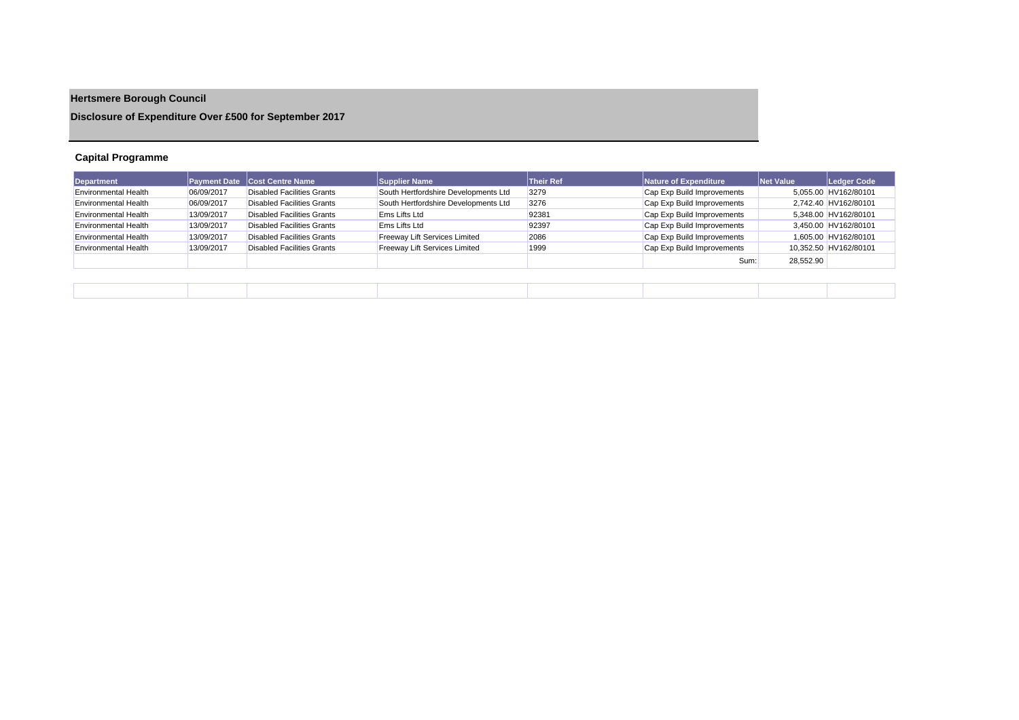## **Hertsmere Borough Council**

**Disclosure of Expenditure Over £500 for September 2017**

## **Capital Programme**

| Department                  |            | <b>Payment Date Cost Centre Name</b> | <b>Supplier Name</b>                 | <b>Their Ref</b> | Nature of Expenditure      | Net Value | Ledger Code           |
|-----------------------------|------------|--------------------------------------|--------------------------------------|------------------|----------------------------|-----------|-----------------------|
| <b>Environmental Health</b> | 06/09/2017 | <b>Disabled Facilities Grants</b>    | South Hertfordshire Developments Ltd | 3279             | Cap Exp Build Improvements |           | 5,055.00 HV162/80101  |
| <b>Environmental Health</b> | 06/09/2017 | Disabled Facilities Grants           | South Hertfordshire Developments Ltd | 3276             | Cap Exp Build Improvements |           | 2,742.40 HV162/80101  |
| <b>Environmental Health</b> | 13/09/2017 | <b>Disabled Facilities Grants</b>    | <b>Ems Lifts Ltd</b>                 | 92381            | Cap Exp Build Improvements |           | 5.348.00 HV162/80101  |
| <b>Environmental Health</b> | 13/09/2017 | Disabled Facilities Grants           | Ems Lifts Ltd                        | 92397            | Cap Exp Build Improvements |           | 3.450.00 HV162/80101  |
| <b>Environmental Health</b> | 13/09/2017 | Disabled Facilities Grants           | <b>Freeway Lift Services Limited</b> | 2086             | Cap Exp Build Improvements |           | 1.605.00 HV162/80101  |
| <b>Environmental Health</b> | 13/09/2017 | Disabled Facilities Grants           | Freeway Lift Services Limited        | 1999             | Cap Exp Build Improvements |           | 10,352.50 HV162/80101 |
|                             |            |                                      |                                      |                  | Sum:                       | 28,552.90 |                       |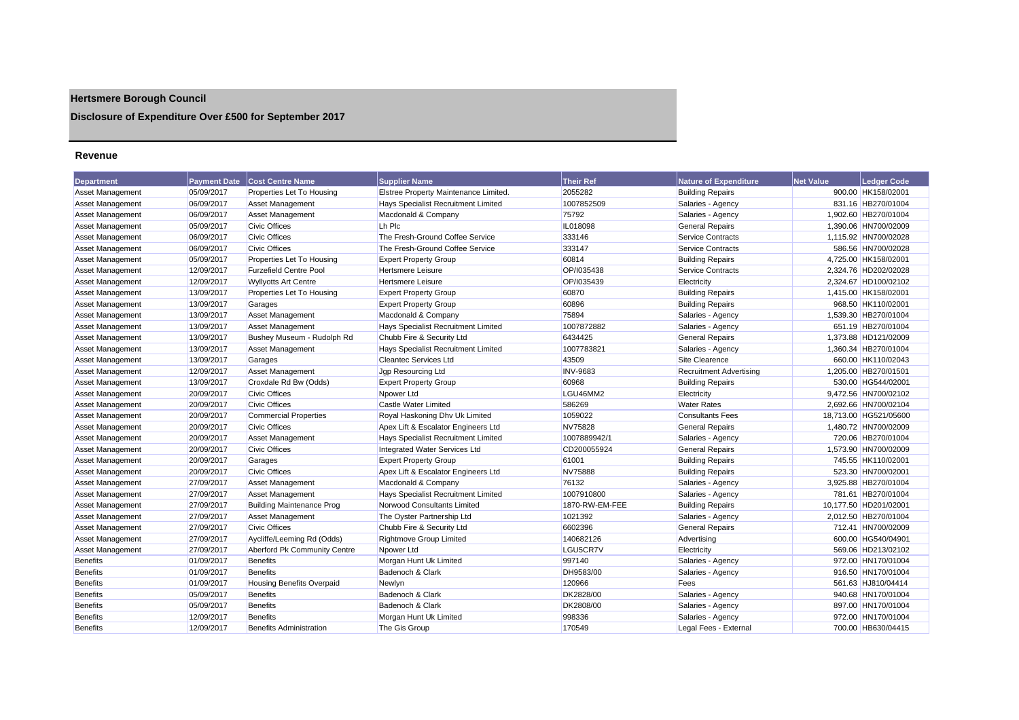## **Hertsmere Borough Council**

**Disclosure of Expenditure Over £500 for September 2017**

## **Revenue**

| <b>Department</b>       | <b>Payment Date</b> | <b>Cost Centre Name</b>          | <b>Supplier Name</b>                  | <b>Their Ref</b> | <b>Nature of Expenditure</b>   | <b>Net Value</b> | <b>Ledger Code</b>    |
|-------------------------|---------------------|----------------------------------|---------------------------------------|------------------|--------------------------------|------------------|-----------------------|
| <b>Asset Management</b> | 05/09/2017          | Properties Let To Housing        | Elstree Property Maintenance Limited. | 2055282          | <b>Building Repairs</b>        |                  | 900.00 HK158/02001    |
| <b>Asset Management</b> | 06/09/2017          | <b>Asset Management</b>          | Hays Specialist Recruitment Limited   | 1007852509       | Salaries - Agency              |                  | 831.16 HB270/01004    |
| Asset Management        | 06/09/2017          | <b>Asset Management</b>          | Macdonald & Company                   | 75792            | Salaries - Agency              |                  | 1,902.60 HB270/01004  |
| Asset Management        | 05/09/2017          | <b>Civic Offices</b>             | Lh Plc                                | IL018098         | <b>General Repairs</b>         |                  | 1,390.06 HN700/02009  |
| Asset Management        | 06/09/2017          | <b>Civic Offices</b>             | The Fresh-Ground Coffee Service       | 333146           | Service Contracts              |                  | 1.115.92 HN700/02028  |
| <b>Asset Management</b> | 06/09/2017          | <b>Civic Offices</b>             | The Fresh-Ground Coffee Service       | 333147           | Service Contracts              |                  | 586.56 HN700/02028    |
| <b>Asset Management</b> | 05/09/2017          | Properties Let To Housing        | <b>Expert Property Group</b>          | 60814            | <b>Building Repairs</b>        |                  | 4,725.00 HK158/02001  |
| Asset Management        | 12/09/2017          | <b>Furzefield Centre Pool</b>    | Hertsmere Leisure                     | OP/I035438       | Service Contracts              |                  | 2,324.76 HD202/02028  |
| Asset Management        | 12/09/2017          | <b>Wyllyotts Art Centre</b>      | <b>Hertsmere Leisure</b>              | OP/I035439       | Electricity                    |                  | 2,324.67 HD100/02102  |
| <b>Asset Management</b> | 13/09/2017          | Properties Let To Housing        | <b>Expert Property Group</b>          | 60870            | <b>Building Repairs</b>        |                  | 1,415.00 HK158/02001  |
| <b>Asset Management</b> | 13/09/2017          | Garages                          | <b>Expert Property Group</b>          | 60896            | <b>Building Repairs</b>        |                  | 968.50 HK110/02001    |
| Asset Management        | 13/09/2017          | <b>Asset Management</b>          | Macdonald & Company                   | 75894            | Salaries - Agency              |                  | 1,539.30 HB270/01004  |
| <b>Asset Management</b> | 13/09/2017          | <b>Asset Management</b>          | Hays Specialist Recruitment Limited   | 1007872882       | Salaries - Agency              |                  | 651.19 HB270/01004    |
| Asset Management        | 13/09/2017          | Bushey Museum - Rudolph Rd       | Chubb Fire & Security Ltd             | 6434425          | <b>General Repairs</b>         |                  | 1,373.88 HD121/02009  |
| Asset Management        | 13/09/2017          | <b>Asset Management</b>          | Hays Specialist Recruitment Limited   | 1007783821       | Salaries - Agency              |                  | 1.360.34 HB270/01004  |
| <b>Asset Management</b> | 13/09/2017          | Garages                          | <b>Cleantec Services Ltd</b>          | 43509            | Site Clearence                 |                  | 660.00 HK110/02043    |
| <b>Asset Management</b> | 12/09/2017          | <b>Asset Management</b>          | Jgp Resourcing Ltd                    | <b>INV-9683</b>  | <b>Recruitment Advertising</b> |                  | 1,205.00 HB270/01501  |
| Asset Management        | 13/09/2017          | Croxdale Rd Bw (Odds)            | <b>Expert Property Group</b>          | 60968            | <b>Building Repairs</b>        |                  | 530.00 HG544/02001    |
| <b>Asset Management</b> | 20/09/2017          | <b>Civic Offices</b>             | Npower Ltd                            | LGU46MM2         | Electricity                    |                  | 9,472.56 HN700/02102  |
| Asset Management        | 20/09/2017          | <b>Civic Offices</b>             | Castle Water Limited                  | 586269           | <b>Water Rates</b>             |                  | 2,692.66 HN700/02104  |
| Asset Management        | 20/09/2017          | <b>Commercial Properties</b>     | Royal Haskoning Dhv Uk Limited        | 1059022          | <b>Consultants Fees</b>        |                  | 18,713.00 HG521/05600 |
| Asset Management        | 20/09/2017          | <b>Civic Offices</b>             | Apex Lift & Escalator Engineers Ltd   | <b>NV75828</b>   | <b>General Repairs</b>         |                  | 1,480.72 HN700/02009  |
| <b>Asset Management</b> | 20/09/2017          | <b>Asset Management</b>          | Hays Specialist Recruitment Limited   | 1007889942/1     | Salaries - Agency              |                  | 720.06 HB270/01004    |
| Asset Management        | 20/09/2017          | <b>Civic Offices</b>             | Integrated Water Services Ltd         | CD200055924      | <b>General Repairs</b>         |                  | 1,573.90 HN700/02009  |
| <b>Asset Management</b> | 20/09/2017          | Garages                          | <b>Expert Property Group</b>          | 61001            | <b>Building Repairs</b>        |                  | 745.55 HK110/02001    |
| Asset Management        | 20/09/2017          | <b>Civic Offices</b>             | Apex Lift & Escalator Engineers Ltd   | NV75888          | <b>Building Repairs</b>        |                  | 523.30 HN700/02001    |
| <b>Asset Management</b> | 27/09/2017          | <b>Asset Management</b>          | Macdonald & Company                   | 76132            | Salaries - Agency              |                  | 3,925.88 HB270/01004  |
| <b>Asset Management</b> | 27/09/2017          | <b>Asset Management</b>          | Hays Specialist Recruitment Limited   | 1007910800       | Salaries - Agency              |                  | 781.61 HB270/01004    |
| <b>Asset Management</b> | 27/09/2017          | <b>Building Maintenance Prog</b> | Norwood Consultants Limited           | 1870-RW-EM-FEE   | <b>Building Repairs</b>        |                  | 10,177.50 HD201/02001 |
| Asset Management        | 27/09/2017          | <b>Asset Management</b>          | The Oyster Partnership Ltd            | 1021392          | Salaries - Agency              |                  | 2,012.50 HB270/01004  |
| <b>Asset Management</b> | 27/09/2017          | <b>Civic Offices</b>             | Chubb Fire & Security Ltd             | 6602396          | <b>General Repairs</b>         |                  | 712.41 HN700/02009    |
| <b>Asset Management</b> | 27/09/2017          | Aycliffe/Leeming Rd (Odds)       | <b>Rightmove Group Limited</b>        | 140682126        | Advertising                    |                  | 600.00 HG540/04901    |
| <b>Asset Management</b> | 27/09/2017          | Aberford Pk Community Centre     | Npower Ltd                            | LGU5CR7V         | Electricity                    |                  | 569.06 HD213/02102    |
| <b>Benefits</b>         | 01/09/2017          | <b>Benefits</b>                  | Morgan Hunt Uk Limited                | 997140           | Salaries - Agency              |                  | 972.00 HN170/01004    |
| <b>Benefits</b>         | 01/09/2017          | <b>Benefits</b>                  | Badenoch & Clark                      | DH9583/00        | Salaries - Agency              |                  | 916.50 HN170/01004    |
| <b>Benefits</b>         | 01/09/2017          | <b>Housing Benefits Overpaid</b> | Newlyn                                | 120966           | Fees                           |                  | 561.63 HJ810/04414    |
| <b>Benefits</b>         | 05/09/2017          | <b>Benefits</b>                  | Badenoch & Clark                      | DK2828/00        | Salaries - Agency              |                  | 940.68 HN170/01004    |
| <b>Benefits</b>         | 05/09/2017          | <b>Benefits</b>                  | Badenoch & Clark                      | DK2808/00        | Salaries - Agency              |                  | 897.00 HN170/01004    |
| <b>Benefits</b>         | 12/09/2017          | <b>Benefits</b>                  | Morgan Hunt Uk Limited                | 998336           | Salaries - Agency              |                  | 972.00 HN170/01004    |
| <b>Benefits</b>         | 12/09/2017          | <b>Benefits Administration</b>   | The Gis Group                         | 170549           | Legal Fees - External          |                  | 700.00 HB630/04415    |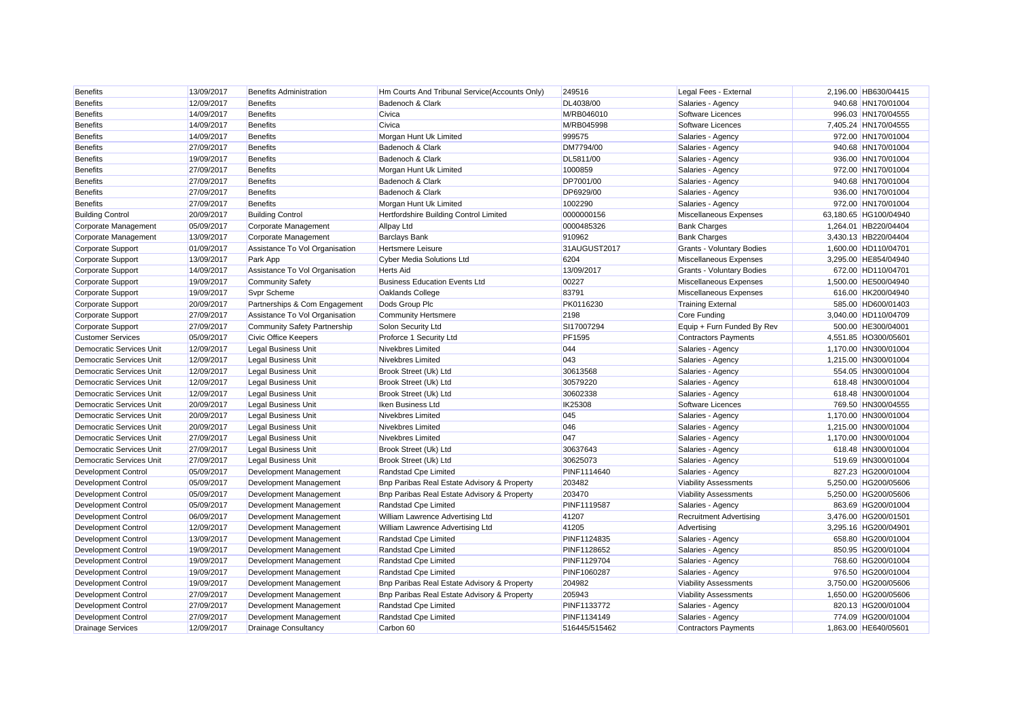| <b>Benefits</b>                 | 13/09/2017 | <b>Benefits Administration</b>      | Hm Courts And Tribunal Service(Accounts Only) | 249516         | Legal Fees - External          | 2,196.00 HB630/04415  |
|---------------------------------|------------|-------------------------------------|-----------------------------------------------|----------------|--------------------------------|-----------------------|
| <b>Benefits</b>                 | 12/09/2017 | <b>Benefits</b>                     | Badenoch & Clark                              | DL4038/00      | Salaries - Agency              | 940.68 HN170/01004    |
| <b>Benefits</b>                 | 14/09/2017 | <b>Benefits</b>                     | Civica                                        | M/RB046010     | Software Licences              | 996.03 HN170/04555    |
| <b>Benefits</b>                 | 14/09/2017 | <b>Benefits</b>                     | Civica                                        | M/RB045998     | Software Licences              | 7.405.24 HN170/04555  |
| <b>Benefits</b>                 | 14/09/2017 | <b>Benefits</b>                     | Morgan Hunt Uk Limited                        | 999575         | Salaries - Agency              | 972.00 HN170/01004    |
| <b>Benefits</b>                 | 27/09/2017 | <b>Benefits</b>                     | Badenoch & Clark                              | DM7794/00      | Salaries - Agency              | 940.68 HN170/01004    |
| <b>Benefits</b>                 | 19/09/2017 | <b>Benefits</b>                     | Badenoch & Clark                              | DL5811/00      | Salaries - Agency              | 936.00 HN170/01004    |
| <b>Benefits</b>                 | 27/09/2017 | <b>Benefits</b>                     | Morgan Hunt Uk Limited                        | 1000859        | Salaries - Agency              | 972.00 HN170/01004    |
| <b>Benefits</b>                 | 27/09/2017 | <b>Benefits</b>                     | Badenoch & Clark                              | DP7001/00      | Salaries - Agency              | 940.68 HN170/01004    |
| Benefits                        | 27/09/2017 | <b>Benefits</b>                     | Badenoch & Clark                              | DP6929/00      | Salaries - Agency              | 936.00 HN170/01004    |
| <b>Benefits</b>                 | 27/09/2017 | <b>Benefits</b>                     | Morgan Hunt Uk Limited                        | 1002290        | Salaries - Agency              | 972.00 HN170/01004    |
| <b>Building Control</b>         | 20/09/2017 | <b>Building Control</b>             | Hertfordshire Building Control Limited        | 0000000156     | Miscellaneous Expenses         | 63,180.65 HG100/04940 |
| Corporate Management            | 05/09/2017 | Corporate Management                | <b>Allpay Ltd</b>                             | 0000485326     | <b>Bank Charges</b>            | 1,264.01 HB220/04404  |
| Corporate Management            | 13/09/2017 | Corporate Management                | <b>Barclays Bank</b>                          | 910962         | <b>Bank Charges</b>            | 3,430.13 HB220/04404  |
| <b>Corporate Support</b>        | 01/09/2017 | Assistance To Vol Organisation      | <b>Hertsmere Leisure</b>                      | 31AUGUST2017   | Grants - Voluntary Bodies      | 1,600.00 HD110/04701  |
| Corporate Support               | 13/09/2017 | Park App                            | <b>Cyber Media Solutions Ltd</b>              | 6204           | Miscellaneous Expenses         | 3,295.00 HE854/04940  |
| Corporate Support               | 14/09/2017 | Assistance To Vol Organisation      | <b>Herts Aid</b>                              | 13/09/2017     | Grants - Voluntary Bodies      | 672.00 HD110/04701    |
| <b>Corporate Support</b>        | 19/09/2017 | <b>Community Safety</b>             | <b>Business Education Events Ltd</b>          | 00227          | Miscellaneous Expenses         | 1,500.00 HE500/04940  |
| Corporate Support               | 19/09/2017 | <b>Svpr Scheme</b>                  | Oaklands College                              | 83791          | Miscellaneous Expenses         | 616.00 HK200/04940    |
| Corporate Support               | 20/09/2017 | Partnerships & Com Engagement       | Dods Group Plc                                | PK0116230      | <b>Training External</b>       | 585.00 HD600/01403    |
| Corporate Support               | 27/09/2017 | Assistance To Vol Organisation      | <b>Community Hertsmere</b>                    | 2198           | Core Funding                   | 3,040.00 HD110/04709  |
| <b>Corporate Support</b>        | 27/09/2017 | <b>Community Safety Partnership</b> | Solon Security Ltd                            | SI17007294     | Equip + Furn Funded By Rev     | 500.00 HE300/04001    |
| <b>Customer Services</b>        | 05/09/2017 | <b>Civic Office Keepers</b>         | Proforce 1 Security Ltd                       | PF1595         | <b>Contractors Payments</b>    | 4,551.85 HO300/05601  |
| <b>Democratic Services Unit</b> | 12/09/2017 | <b>Legal Business Unit</b>          | Nivekbres Limited                             | 044            | Salaries - Agency              | 1,170.00 HN300/01004  |
| Democratic Services Unit        | 12/09/2017 | <b>Legal Business Unit</b>          | Nivekbres Limited                             | 043            | Salaries - Agency              | 1,215.00 HN300/01004  |
| Democratic Services Unit        | 12/09/2017 | <b>Legal Business Unit</b>          | Brook Street (Uk) Ltd                         | 30613568       | Salaries - Agency              | 554.05 HN300/01004    |
| Democratic Services Unit        | 12/09/2017 | <b>Legal Business Unit</b>          | Brook Street (Uk) Ltd                         | 30579220       | Salaries - Agency              | 618.48 HN300/01004    |
| Democratic Services Unit        | 12/09/2017 | <b>Legal Business Unit</b>          | Brook Street (Uk) Ltd                         | 30602338       | Salaries - Agency              | 618.48 HN300/01004    |
| Democratic Services Unit        | 20/09/2017 | <b>Legal Business Unit</b>          | Iken Business Ltd                             | <b>IK25308</b> | Software Licences              | 769.50 HN300/04555    |
| Democratic Services Unit        | 20/09/2017 | <b>Legal Business Unit</b>          | Nivekbres Limited                             | 045            | Salaries - Agency              | 1,170.00 HN300/01004  |
| Democratic Services Unit        | 20/09/2017 | <b>Legal Business Unit</b>          | Nivekbres Limited                             | 046            | Salaries - Agency              | 1,215.00 HN300/01004  |
| Democratic Services Unit        | 27/09/2017 | <b>Legal Business Unit</b>          | Nivekbres Limited                             | 047            | Salaries - Agency              | 1,170.00 HN300/01004  |
| Democratic Services Unit        | 27/09/2017 | Legal Business Unit                 | Brook Street (Uk) Ltd                         | 30637643       | Salaries - Agency              | 618.48 HN300/01004    |
| Democratic Services Unit        | 27/09/2017 | <b>Legal Business Unit</b>          | Brook Street (Uk) Ltd                         | 30625073       | Salaries - Agency              | 519.69 HN300/01004    |
| <b>Development Control</b>      | 05/09/2017 | Development Management              | Randstad Cpe Limited                          | PINF1114640    | Salaries - Agency              | 827.23 HG200/01004    |
| Development Control             | 05/09/2017 | Development Management              | Bnp Paribas Real Estate Advisory & Property   | 203482         | <b>Viability Assessments</b>   | 5,250.00 HG200/05606  |
| Development Control             | 05/09/2017 | Development Management              | Bnp Paribas Real Estate Advisory & Property   | 203470         | <b>Viability Assessments</b>   | 5,250.00 HG200/05606  |
| <b>Development Control</b>      | 05/09/2017 | Development Management              | Randstad Cpe Limited                          | PINF1119587    | Salaries - Agency              | 863.69 HG200/01004    |
| <b>Development Control</b>      | 06/09/2017 | Development Management              | William Lawrence Advertising Ltd              | 41207          | <b>Recruitment Advertising</b> | 3,476.00 HG200/01501  |
| <b>Development Control</b>      | 12/09/2017 | Development Management              | William Lawrence Advertising Ltd              | 41205          | Advertising                    | 3,295.16 HG200/04901  |
| <b>Development Control</b>      | 13/09/2017 | Development Management              | Randstad Cpe Limited                          | PINF1124835    | Salaries - Agency              | 658.80 HG200/01004    |
| <b>Development Control</b>      | 19/09/2017 | Development Management              | Randstad Cpe Limited                          | PINF1128652    | Salaries - Agency              | 850.95 HG200/01004    |
| <b>Development Control</b>      | 19/09/2017 | Development Management              | Randstad Cpe Limited                          | PINF1129704    | Salaries - Agency              | 768.60 HG200/01004    |
| <b>Development Control</b>      | 19/09/2017 | Development Management              | Randstad Cpe Limited                          | PINF1060287    | Salaries - Agency              | 976.50 HG200/01004    |
| Development Control             | 19/09/2017 | Development Management              | Bnp Paribas Real Estate Advisory & Property   | 204982         | <b>Viability Assessments</b>   | 3.750.00 HG200/05606  |
| <b>Development Control</b>      | 27/09/2017 | Development Management              | Bnp Paribas Real Estate Advisory & Property   | 205943         | <b>Viability Assessments</b>   | 1,650.00 HG200/05606  |
| <b>Development Control</b>      | 27/09/2017 | Development Management              | Randstad Cpe Limited                          | PINF1133772    | Salaries - Agency              | 820.13 HG200/01004    |
| <b>Development Control</b>      | 27/09/2017 | Development Management              | Randstad Cpe Limited                          | PINF1134149    | Salaries - Agency              | 774.09 HG200/01004    |
| <b>Drainage Services</b>        | 12/09/2017 | <b>Drainage Consultancy</b>         | Carbon 60                                     | 516445/515462  | <b>Contractors Payments</b>    | 1.863.00 HE640/05601  |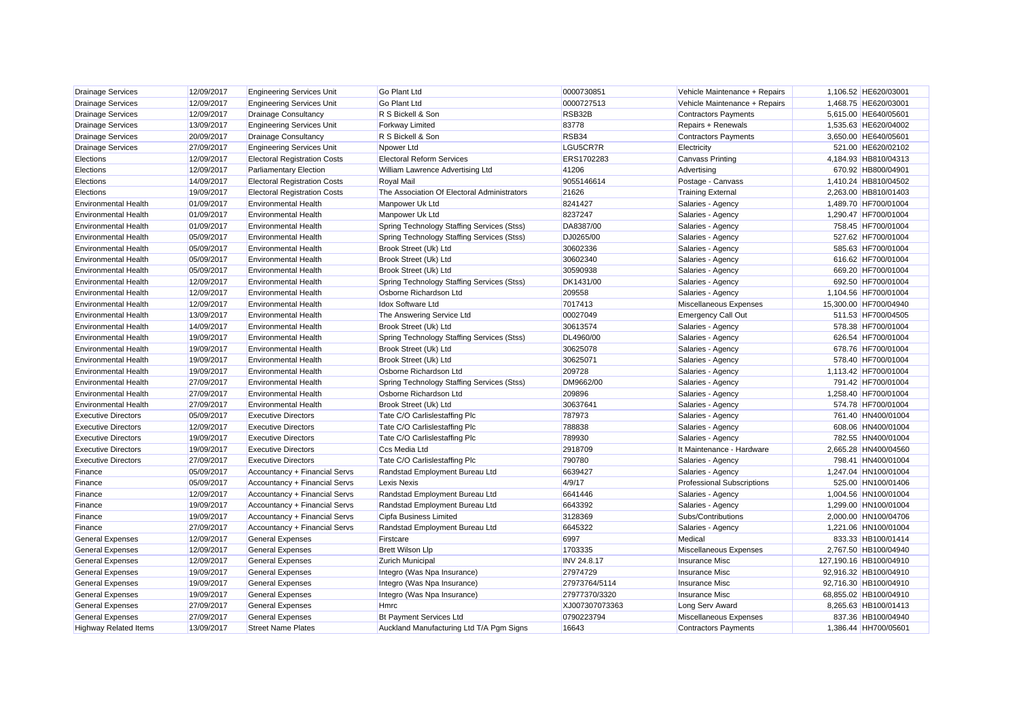| <b>Drainage Services</b>     | 12/09/2017 | <b>Engineering Services Unit</b>    | <b>Go Plant Ltd</b>                         | 0000730851         | Vehicle Maintenance + Repairs     | 1,106.52 HE620/03001   |
|------------------------------|------------|-------------------------------------|---------------------------------------------|--------------------|-----------------------------------|------------------------|
| <b>Drainage Services</b>     | 12/09/2017 | <b>Engineering Services Unit</b>    | <b>Go Plant Ltd</b>                         | 0000727513         | Vehicle Maintenance + Repairs     | 1,468.75 HE620/03001   |
| <b>Drainage Services</b>     | 12/09/2017 | <b>Drainage Consultancy</b>         | R S Bickell & Son                           | RSB32B             | <b>Contractors Payments</b>       | 5,615.00 HE640/05601   |
| <b>Drainage Services</b>     | 13/09/2017 | <b>Engineering Services Unit</b>    | <b>Forkway Limited</b>                      | 83778              | Repairs + Renewals                | 1,535.63 HE620/04002   |
| <b>Drainage Services</b>     | 20/09/2017 | <b>Drainage Consultancy</b>         | R S Bickell & Son                           | RSB34              | <b>Contractors Payments</b>       | 3,650.00 HE640/05601   |
| <b>Drainage Services</b>     | 27/09/2017 | <b>Engineering Services Unit</b>    | Npower Ltd                                  | LGU5CR7R           | Electricity                       | 521.00 HE620/02102     |
| Elections                    | 12/09/2017 | <b>Electoral Registration Costs</b> | <b>Electoral Reform Services</b>            | ERS1702283         | <b>Canvass Printing</b>           | 4,184.93 HB810/04313   |
| Elections                    | 12/09/2017 | <b>Parliamentary Election</b>       | William Lawrence Advertising Ltd            | 41206              | Advertising                       | 670.92 HB800/04901     |
| Elections                    | 14/09/2017 | <b>Electoral Registration Costs</b> | <b>Royal Mail</b>                           | 9055146614         | Postage - Canvass                 | 1,410.24 HB810/04502   |
| Elections                    | 19/09/2017 | <b>Electoral Registration Costs</b> | The Association Of Electoral Administrators | 21626              | <b>Training External</b>          | 2,263.00 HB810/01403   |
| Environmental Health         | 01/09/2017 | <b>Environmental Health</b>         | Manpower Uk Ltd                             | 8241427            | Salaries - Agency                 | 1,489.70 HF700/01004   |
| <b>Environmental Health</b>  | 01/09/2017 | <b>Environmental Health</b>         | Manpower Uk Ltd                             | 8237247            | Salaries - Agency                 | 1,290.47 HF700/01004   |
| <b>Environmental Health</b>  | 01/09/2017 | <b>Environmental Health</b>         | Spring Technology Staffing Services (Stss)  | DA8387/00          | Salaries - Agency                 | 758.45 HF700/01004     |
| <b>Environmental Health</b>  | 05/09/2017 | <b>Environmental Health</b>         | Spring Technology Staffing Services (Stss)  | DJ0265/00          | Salaries - Agency                 | 527.62 HF700/01004     |
| Environmental Health         | 05/09/2017 | <b>Environmental Health</b>         | Brook Street (Uk) Ltd                       | 30602336           | Salaries - Agency                 | 585.63 HF700/01004     |
| <b>Environmental Health</b>  | 05/09/2017 | <b>Environmental Health</b>         | Brook Street (Uk) Ltd                       | 30602340           | Salaries - Agency                 | 616.62 HF700/01004     |
| <b>Environmental Health</b>  | 05/09/2017 | <b>Environmental Health</b>         | Brook Street (Uk) Ltd                       | 30590938           | Salaries - Agency                 | 669.20 HF700/01004     |
| <b>Environmental Health</b>  | 12/09/2017 | <b>Environmental Health</b>         | Spring Technology Staffing Services (Stss)  | DK1431/00          | Salaries - Agency                 | 692.50 HF700/01004     |
| <b>Environmental Health</b>  | 12/09/2017 | <b>Environmental Health</b>         | Osborne Richardson Ltd                      | 209558             | Salaries - Agency                 | 1.104.56 HF700/01004   |
| <b>Environmental Health</b>  | 12/09/2017 | <b>Environmental Health</b>         | <b>Idox Software Ltd</b>                    | 7017413            | Miscellaneous Expenses            | 15,300.00 HF700/04940  |
| <b>Environmental Health</b>  | 13/09/2017 | <b>Environmental Health</b>         | The Answering Service Ltd                   | 00027049           | <b>Emergency Call Out</b>         | 511.53 HF700/04505     |
| <b>Environmental Health</b>  | 14/09/2017 | <b>Environmental Health</b>         | Brook Street (Uk) Ltd                       | 30613574           | Salaries - Agency                 | 578.38 HF700/01004     |
| <b>Environmental Health</b>  | 19/09/2017 | <b>Environmental Health</b>         | Spring Technology Staffing Services (Stss)  | DL4960/00          | Salaries - Agency                 | 626.54 HF700/01004     |
| <b>Environmental Health</b>  | 19/09/2017 | <b>Environmental Health</b>         | Brook Street (Uk) Ltd                       | 30625078           | Salaries - Agency                 | 678.76 HF700/01004     |
| <b>Environmental Health</b>  | 19/09/2017 | <b>Environmental Health</b>         | Brook Street (Uk) Ltd                       | 30625071           | Salaries - Agency                 | 578.40 HF700/01004     |
| <b>Environmental Health</b>  | 19/09/2017 | <b>Environmental Health</b>         | Osborne Richardson Ltd                      | 209728             | Salaries - Agency                 | 1,113.42 HF700/01004   |
| Environmental Health         | 27/09/2017 | <b>Environmental Health</b>         | Spring Technology Staffing Services (Stss)  | DM9662/00          | Salaries - Agency                 | 791.42 HF700/01004     |
| <b>Environmental Health</b>  | 27/09/2017 | <b>Environmental Health</b>         | Osborne Richardson Ltd                      | 209896             | Salaries - Agency                 | 1,258.40 HF700/01004   |
| <b>Environmental Health</b>  | 27/09/2017 | <b>Environmental Health</b>         | Brook Street (Uk) Ltd                       | 30637641           | Salaries - Agency                 | 574.78 HF700/01004     |
| <b>Executive Directors</b>   | 05/09/2017 | <b>Executive Directors</b>          | Tate C/O Carlislestaffing Plc               | 787973             | Salaries - Agency                 | 761.40 HN400/01004     |
| <b>Executive Directors</b>   | 12/09/2017 | <b>Executive Directors</b>          | Tate C/O Carlislestaffing Plc               | 788838             | Salaries - Agency                 | 608.06 HN400/01004     |
| <b>Executive Directors</b>   | 19/09/2017 | <b>Executive Directors</b>          | Tate C/O Carlislestaffing Plc               | 789930             | Salaries - Agency                 | 782.55 HN400/01004     |
| <b>Executive Directors</b>   | 19/09/2017 | <b>Executive Directors</b>          | Ccs Media Ltd                               | 2918709            | It Maintenance - Hardware         | 2,665.28 HN400/04560   |
| <b>Executive Directors</b>   | 27/09/2017 | <b>Executive Directors</b>          | Tate C/O Carlislestaffing Plc               | 790780             | Salaries - Agency                 | 798.41 HN400/01004     |
| Finance                      | 05/09/2017 | Accountancy + Financial Servs       | Randstad Employment Bureau Ltd              | 6639427            | Salaries - Agency                 | 1,247.04 HN100/01004   |
| Finance                      | 05/09/2017 | Accountancy + Financial Servs       | <b>Lexis Nexis</b>                          | 4/9/17             | <b>Professional Subscriptions</b> | 525.00 HN100/01406     |
| Finance                      | 12/09/2017 | Accountancy + Financial Servs       | Randstad Employment Bureau Ltd              | 6641446            | Salaries - Agency                 | 1,004.56 HN100/01004   |
| Finance                      | 19/09/2017 | Accountancy + Financial Servs       | Randstad Employment Bureau Ltd              | 6643392            | Salaries - Agency                 | 1,299.00 HN100/01004   |
| Finance                      | 19/09/2017 | Accountancy + Financial Servs       | Cipfa Business Limited                      | 3128369            | Subs/Contributions                | 2.000.00 HN100/04706   |
| Finance                      | 27/09/2017 | Accountancy + Financial Servs       | Randstad Employment Bureau Ltd              | 6645322            | Salaries - Agency                 | 1,221.06 HN100/01004   |
| <b>General Expenses</b>      | 12/09/2017 | <b>General Expenses</b>             | Firstcare                                   | 6997               | Medical                           | 833.33 HB100/01414     |
| <b>General Expenses</b>      | 12/09/2017 | <b>General Expenses</b>             | <b>Brett Wilson Llp</b>                     | 1703335            | Miscellaneous Expenses            | 2,767.50 HB100/04940   |
| <b>General Expenses</b>      | 12/09/2017 | <b>General Expenses</b>             | <b>Zurich Municipal</b>                     | <b>INV 24.8.17</b> | <b>Insurance Misc</b>             | 127,190.16 HB100/04910 |
| <b>General Expenses</b>      | 19/09/2017 | <b>General Expenses</b>             | Integro (Was Npa Insurance)                 | 27974729           | <b>Insurance Misc</b>             | 92,916.32 HB100/04910  |
| <b>General Expenses</b>      | 19/09/2017 | <b>General Expenses</b>             | Integro (Was Npa Insurance)                 | 27973764/5114      | <b>Insurance Misc</b>             | 92,716.30 HB100/04910  |
| <b>General Expenses</b>      | 19/09/2017 | <b>General Expenses</b>             | Integro (Was Npa Insurance)                 | 27977370/3320      | <b>Insurance Misc</b>             | 68,855.02 HB100/04910  |
| <b>General Expenses</b>      | 27/09/2017 | <b>General Expenses</b>             | Hmrc                                        | XJ007307073363     | Long Serv Award                   | 8,265.63 HB100/01413   |
| <b>General Expenses</b>      | 27/09/2017 | <b>General Expenses</b>             | <b>Bt Payment Services Ltd</b>              | 0790223794         | Miscellaneous Expenses            | 837.36 HB100/04940     |
| <b>Highway Related Items</b> | 13/09/2017 | <b>Street Name Plates</b>           | Auckland Manufacturing Ltd T/A Pgm Signs    | 16643              | <b>Contractors Payments</b>       | 1.386.44 HH700/05601   |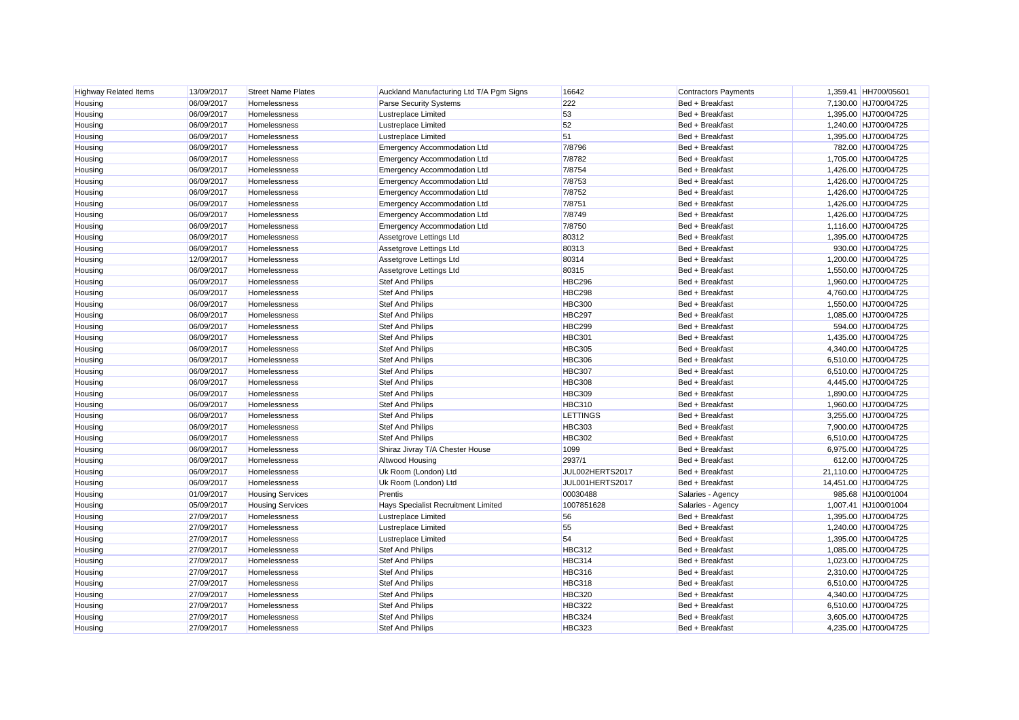| <b>Highway Related Items</b> | 13/09/2017 | <b>Street Name Plates</b> | Auckland Manufacturing Ltd T/A Pgm Signs | 16642           | <b>Contractors Payments</b> | 1,359.41 HH700/05601  |
|------------------------------|------------|---------------------------|------------------------------------------|-----------------|-----------------------------|-----------------------|
| Housing                      | 06/09/2017 | Homelessness              | <b>Parse Security Systems</b>            | 222             | Bed + Breakfast             | 7,130.00 HJ700/04725  |
| Housing                      | 06/09/2017 | Homelessness              | Lustreplace Limited                      | 53              | Bed + Breakfast             | 1,395.00 HJ700/04725  |
| Housing                      | 06/09/2017 | Homelessness              | <b>Lustreplace Limited</b>               | 52              | Bed + Breakfast             | 1,240.00 HJ700/04725  |
| Housing                      | 06/09/2017 | Homelessness              | Lustreplace Limited                      | 51              | Bed + Breakfast             | 1,395.00 HJ700/04725  |
| Housing                      | 06/09/2017 | Homelessness              | <b>Emergency Accommodation Ltd</b>       | 7/8796          | Bed + Breakfast             | 782.00 HJ700/04725    |
| Housing                      | 06/09/2017 | Homelessness              | <b>Emergency Accommodation Ltd</b>       | 7/8782          | Bed + Breakfast             | 1,705.00 HJ700/04725  |
| Housing                      | 06/09/2017 | <b>Homelessness</b>       | <b>Emergency Accommodation Ltd</b>       | 7/8754          | Bed + Breakfast             | 1,426.00 HJ700/04725  |
| Housing                      | 06/09/2017 | Homelessness              | <b>Emergency Accommodation Ltd</b>       | 7/8753          | Bed + Breakfast             | 1,426.00 HJ700/04725  |
| Housing                      | 06/09/2017 | Homelessness              | Emergency Accommodation Ltd              | 7/8752          | Bed + Breakfast             | 1,426.00 HJ700/04725  |
| Housing                      | 06/09/2017 | Homelessness              | <b>Emergency Accommodation Ltd</b>       | 7/8751          | Bed + Breakfast             | 1,426.00 HJ700/04725  |
| Housing                      | 06/09/2017 | Homelessness              | Emergency Accommodation Ltd              | 7/8749          | Bed + Breakfast             | 1,426.00 HJ700/04725  |
| Housing                      | 06/09/2017 | Homelessness              | <b>Emergency Accommodation Ltd</b>       | 7/8750          | Bed + Breakfast             | 1,116.00 HJ700/04725  |
| Housing                      | 06/09/2017 | Homelessness              | Assetgrove Lettings Ltd                  | 80312           | Bed + Breakfast             | 1,395.00 HJ700/04725  |
| Housing                      | 06/09/2017 | Homelessness              | Assetgrove Lettings Ltd                  | 80313           | Bed + Breakfast             | 930.00 HJ700/04725    |
| Housing                      | 12/09/2017 | Homelessness              | Assetgrove Lettings Ltd                  | 80314           | Bed + Breakfast             | 1,200.00 HJ700/04725  |
| Housing                      | 06/09/2017 | Homelessness              | Assetgrove Lettings Ltd                  | 80315           | Bed + Breakfast             | 1,550.00 HJ700/04725  |
| Housing                      | 06/09/2017 | Homelessness              | <b>Stef And Philips</b>                  | <b>HBC296</b>   | Bed + Breakfast             | 1,960.00 HJ700/04725  |
| Housing                      | 06/09/2017 | Homelessness              | <b>Stef And Philips</b>                  | <b>HBC298</b>   | Bed + Breakfast             | 4,760.00 HJ700/04725  |
| Housing                      | 06/09/2017 | Homelessness              | <b>Stef And Philips</b>                  | <b>HBC300</b>   | Bed + Breakfast             | 1,550.00 HJ700/04725  |
| Housing                      | 06/09/2017 | Homelessness              | <b>Stef And Philips</b>                  | <b>HBC297</b>   | Bed + Breakfast             | 1,085.00 HJ700/04725  |
| Housing                      | 06/09/2017 | Homelessness              | Stef And Philips                         | <b>HBC299</b>   | Bed + Breakfast             | 594.00 HJ700/04725    |
| Housing                      | 06/09/2017 | Homelessness              | <b>Stef And Philips</b>                  | <b>HBC301</b>   | Bed + Breakfast             | 1,435.00 HJ700/04725  |
| Housing                      | 06/09/2017 | Homelessness              | Stef And Philips                         | <b>HBC305</b>   | Bed + Breakfast             | 4,340.00 HJ700/04725  |
| Housing                      | 06/09/2017 | Homelessness              | <b>Stef And Philips</b>                  | <b>HBC306</b>   | Bed + Breakfast             | 6,510.00 HJ700/04725  |
| Housing                      | 06/09/2017 | Homelessness              | <b>Stef And Philips</b>                  | <b>HBC307</b>   | Bed + Breakfast             | 6,510.00 HJ700/04725  |
| Housing                      | 06/09/2017 | Homelessness              | <b>Stef And Philips</b>                  | <b>HBC308</b>   | Bed + Breakfast             | 4,445.00 HJ700/04725  |
| Housing                      | 06/09/2017 | Homelessness              | <b>Stef And Philips</b>                  | <b>HBC309</b>   | Bed + Breakfast             | 1,890.00 HJ700/04725  |
| Housing                      | 06/09/2017 | Homelessness              | <b>Stef And Philips</b>                  | <b>HBC310</b>   | Bed + Breakfast             | 1,960.00 HJ700/04725  |
| Housing                      | 06/09/2017 | Homelessness              | Stef And Philips                         | LETTINGS        | Bed + Breakfast             | 3,255.00 HJ700/04725  |
| Housing                      | 06/09/2017 | Homelessness              | <b>Stef And Philips</b>                  | <b>HBC303</b>   | Bed + Breakfast             | 7,900.00 HJ700/04725  |
| Housing                      | 06/09/2017 | Homelessness              | <b>Stef And Philips</b>                  | <b>HBC302</b>   | Bed + Breakfast             | 6,510.00 HJ700/04725  |
| Housing                      | 06/09/2017 | Homelessness              | Shiraz Jivray T/A Chester House          | 1099            | Bed + Breakfast             | 6,975.00 HJ700/04725  |
| Housing                      | 06/09/2017 | Homelessness              | Altwood Housing                          | 2937/1          | Bed + Breakfast             | 612.00 HJ700/04725    |
| Housing                      | 06/09/2017 | Homelessness              | Uk Room (London) Ltd                     | JUL002HERTS2017 | Bed + Breakfast             | 21,110.00 HJ700/04725 |
| Housing                      | 06/09/2017 | Homelessness              | Uk Room (London) Ltd                     | JUL001HERTS2017 | Bed + Breakfast             | 14,451.00 HJ700/04725 |
| Housing                      | 01/09/2017 | <b>Housing Services</b>   | Prentis                                  | 00030488        | Salaries - Agency           | 985.68 HJ100/01004    |
| Housing                      | 05/09/2017 | <b>Housing Services</b>   | Hays Specialist Recruitment Limited      | 1007851628      | Salaries - Agency           | 1,007.41 HJ100/01004  |
| Housing                      | 27/09/2017 | Homelessness              | Lustreplace Limited                      | 56              | Bed + Breakfast             | 1,395.00 HJ700/04725  |
| Housing                      | 27/09/2017 | Homelessness              | Lustreplace Limited                      | 55              | Bed + Breakfast             | 1,240.00 HJ700/04725  |
| Housing                      | 27/09/2017 | Homelessness              | Lustreplace Limited                      | 54              | Bed + Breakfast             | 1,395.00 HJ700/04725  |
| Housing                      | 27/09/2017 | Homelessness              | Stef And Philips                         | <b>HBC312</b>   | Bed + Breakfast             | 1,085.00 HJ700/04725  |
| Housing                      | 27/09/2017 | Homelessness              | Stef And Philips                         | <b>HBC314</b>   | Bed + Breakfast             | 1,023.00 HJ700/04725  |
| Housing                      | 27/09/2017 | Homelessness              | <b>Stef And Philips</b>                  | <b>HBC316</b>   | Bed + Breakfast             | 2,310.00 HJ700/04725  |
| Housing                      | 27/09/2017 | Homelessness              | <b>Stef And Philips</b>                  | <b>HBC318</b>   | Bed + Breakfast             | 6,510.00 HJ700/04725  |
| Housing                      | 27/09/2017 | Homelessness              | <b>Stef And Philips</b>                  | <b>HBC320</b>   | Bed + Breakfast             | 4,340.00 HJ700/04725  |
| Housing                      | 27/09/2017 | Homelessness              | <b>Stef And Philips</b>                  | <b>HBC322</b>   | Bed + Breakfast             | 6,510.00 HJ700/04725  |
| Housing                      | 27/09/2017 | <b>Homelessness</b>       | <b>Stef And Philips</b>                  | <b>HBC324</b>   | Bed + Breakfast             | 3,605.00 HJ700/04725  |
| Housing                      | 27/09/2017 | <b>Homelessness</b>       | <b>Stef And Philips</b>                  | <b>HBC323</b>   | Bed + Breakfast             | 4.235.00 HJ700/04725  |
|                              |            |                           |                                          |                 |                             |                       |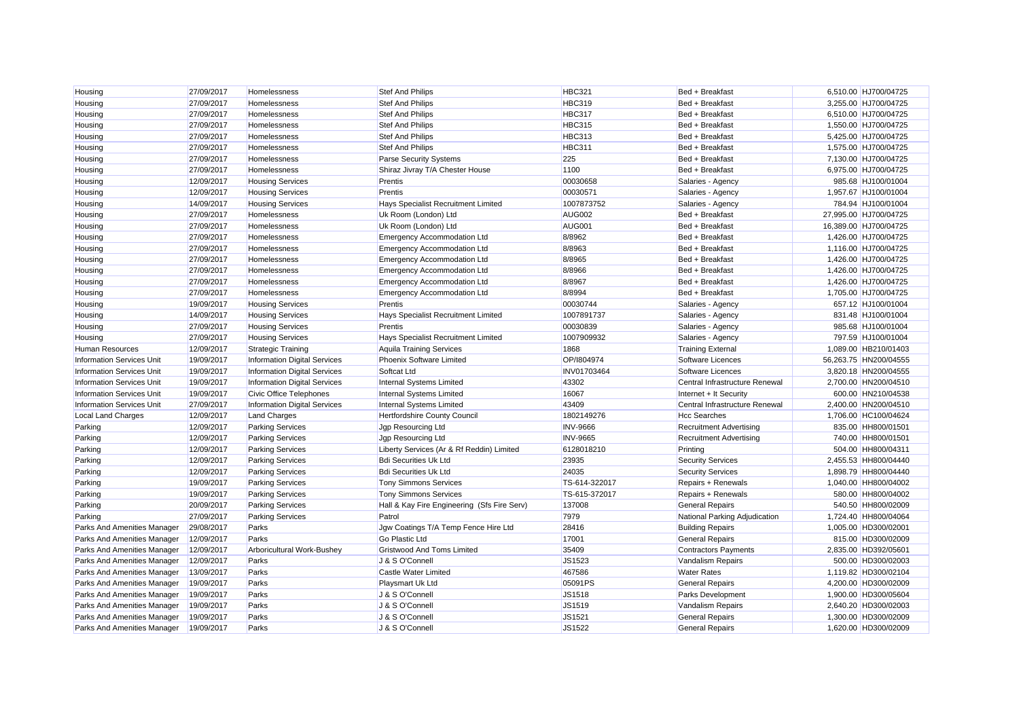| Housing                          | 27/09/2017 | Homelessness                        | Stef And Philips                            | <b>HBC321</b>   | Bed + Breakfast                | 6,510.00 HJ700/04725  |
|----------------------------------|------------|-------------------------------------|---------------------------------------------|-----------------|--------------------------------|-----------------------|
| Housing                          | 27/09/2017 | Homelessness                        | Stef And Philips                            | <b>HBC319</b>   | Bed + Breakfast                | 3,255.00 HJ700/04725  |
| Housing                          | 27/09/2017 | Homelessness                        | <b>Stef And Philips</b>                     | HBC317          | Bed + Breakfast                | 6,510.00 HJ700/04725  |
| Housing                          | 27/09/2017 | Homelessness                        | <b>Stef And Philips</b>                     | <b>HBC315</b>   | Bed + Breakfast                | 1,550.00 HJ700/04725  |
| Housing                          | 27/09/2017 | Homelessness                        | Stef And Philips                            | <b>HBC313</b>   | Bed + Breakfast                | 5,425.00 HJ700/04725  |
| Housing                          | 27/09/2017 | Homelessness                        | Stef And Philips                            | <b>HBC311</b>   | Bed + Breakfast                | 1,575.00 HJ700/04725  |
| Housing                          | 27/09/2017 | Homelessness                        | <b>Parse Security Systems</b>               | 225             | Bed + Breakfast                | 7,130.00 HJ700/04725  |
| Housing                          | 27/09/2017 | Homelessness                        | Shiraz Jivray T/A Chester House             | 1100            | Bed + Breakfast                | 6,975.00 HJ700/04725  |
| Housing                          | 12/09/2017 | <b>Housing Services</b>             | Prentis                                     | 00030658        | Salaries - Agency              | 985.68 HJ100/01004    |
| Housing                          | 12/09/2017 | <b>Housing Services</b>             | Prentis                                     | 00030571        | Salaries - Agency              | 1,957.67 HJ100/01004  |
| Housing                          | 14/09/2017 | <b>Housing Services</b>             | Hays Specialist Recruitment Limited         | 1007873752      | Salaries - Agency              | 784.94 HJ100/01004    |
| Housing                          | 27/09/2017 | Homelessness                        | Uk Room (London) Ltd                        | <b>AUG002</b>   | Bed + Breakfast                | 27,995.00 HJ700/04725 |
| Housing                          | 27/09/2017 | Homelessness                        | Uk Room (London) Ltd                        | AUG001          | Bed + Breakfast                | 16,389.00 HJ700/04725 |
| Housing                          | 27/09/2017 | Homelessness                        | <b>Emergency Accommodation Ltd</b>          | 8/8962          | Bed + Breakfast                | 1,426.00 HJ700/04725  |
| Housing                          | 27/09/2017 | Homelessness                        | <b>Emergency Accommodation Ltd</b>          | 8/8963          | Bed + Breakfast                | 1,116.00 HJ700/04725  |
| Housing                          | 27/09/2017 | Homelessness                        | <b>Emergency Accommodation Ltd</b>          | 8/8965          | Bed + Breakfast                | 1.426.00 HJ700/04725  |
| Housing                          | 27/09/2017 | Homelessness                        | <b>Emergency Accommodation Ltd</b>          | 8/8966          | Bed + Breakfast                | 1,426.00 HJ700/04725  |
| Housing                          | 27/09/2017 | Homelessness                        | <b>Emergency Accommodation Ltd</b>          | 8/8967          | Bed + Breakfast                | 1,426.00 HJ700/04725  |
| Housing                          | 27/09/2017 | Homelessness                        | Emergency Accommodation Ltd                 | 8/8994          | Bed + Breakfast                | 1,705.00 HJ700/04725  |
| Housing                          | 19/09/2017 | <b>Housing Services</b>             | Prentis                                     | 00030744        | Salaries - Agency              | 657.12 HJ100/01004    |
| Housing                          | 14/09/2017 | <b>Housing Services</b>             | Hays Specialist Recruitment Limited         | 1007891737      | Salaries - Agency              | 831.48 HJ100/01004    |
| Housing                          | 27/09/2017 | <b>Housing Services</b>             | Prentis                                     | 00030839        | Salaries - Agency              | 985.68 HJ100/01004    |
| Housing                          | 27/09/2017 | <b>Housing Services</b>             | Hays Specialist Recruitment Limited         | 1007909932      | Salaries - Agency              | 797.59 HJ100/01004    |
| <b>Human Resources</b>           | 12/09/2017 | <b>Strategic Training</b>           | <b>Aquila Training Services</b>             | 1868            | <b>Training External</b>       | 1,089.00 HB210/01403  |
| <b>Information Services Unit</b> | 19/09/2017 | <b>Information Digital Services</b> | Phoenix Software Limited                    | OP/1804974      | Software Licences              | 56,263.75 HN200/04555 |
| <b>Information Services Unit</b> | 19/09/2017 | Information Digital Services        | Softcat Ltd                                 | INV01703464     | Software Licences              | 3,820.18 HN200/04555  |
| <b>Information Services Unit</b> | 19/09/2017 | <b>Information Digital Services</b> | Internal Systems Limited                    | 43302           | Central Infrastructure Renewal | 2,700.00 HN200/04510  |
| <b>Information Services Unit</b> | 19/09/2017 | <b>Civic Office Telephones</b>      | Internal Systems Limited                    | 16067           | Internet + It Security         | 600.00 HN210/04538    |
| <b>Information Services Unit</b> | 27/09/2017 | Information Digital Services        | Internal Systems Limited                    | 43409           | Central Infrastructure Renewal | 2,400.00 HN200/04510  |
| <b>Local Land Charges</b>        | 12/09/2017 | <b>Land Charges</b>                 | Hertfordshire County Council                | 1802149276      | <b>Hcc Searches</b>            | 1,706.00 HC100/04624  |
| Parking                          | 12/09/2017 | <b>Parking Services</b>             | Jgp Resourcing Ltd                          | <b>INV-9666</b> | <b>Recruitment Advertising</b> | 835.00 HH800/01501    |
| Parking                          | 12/09/2017 | <b>Parking Services</b>             | Jgp Resourcing Ltd                          | <b>INV-9665</b> | <b>Recruitment Advertising</b> | 740.00 HH800/01501    |
| Parking                          | 12/09/2017 | <b>Parking Services</b>             | Liberty Services (Ar & Rf Reddin) Limited   | 6128018210      | Printing                       | 504.00 HH800/04311    |
| Parking                          | 12/09/2017 | <b>Parking Services</b>             | <b>Bdi Securities Uk Ltd</b>                | 23935           | <b>Security Services</b>       | 2,455.53 HH800/04440  |
| Parking                          | 12/09/2017 | <b>Parking Services</b>             | <b>Bdi Securities Uk Ltd</b>                | 24035           | <b>Security Services</b>       | 1,898.79 HH800/04440  |
| Parking                          | 19/09/2017 | <b>Parking Services</b>             | <b>Tony Simmons Services</b>                | TS-614-322017   | Repairs + Renewals             | 1,040.00 HH800/04002  |
| Parking                          | 19/09/2017 | <b>Parking Services</b>             | <b>Tony Simmons Services</b>                | TS-615-372017   | Repairs + Renewals             | 580.00 HH800/04002    |
| Parking                          | 20/09/2017 | <b>Parking Services</b>             | Hall & Kay Fire Engineering (Sfs Fire Serv) | 137008          | <b>General Repairs</b>         | 540.50 HH800/02009    |
| Parking                          | 27/09/2017 | <b>Parking Services</b>             | Patrol                                      | 7979            | National Parking Adjudication  | 1,724.40 HH800/04064  |
| Parks And Amenities Manager      | 29/08/2017 | Parks                               | Jgw Coatings T/A Temp Fence Hire Ltd        | 28416           | <b>Building Repairs</b>        | 1,005.00 HD300/02001  |
| Parks And Amenities Manager      | 12/09/2017 | Parks                               | Go Plastic Ltd                              | 17001           | <b>General Repairs</b>         | 815.00 HD300/02009    |
| Parks And Amenities Manager      | 12/09/2017 | Arboricultural Work-Bushey          | Gristwood And Toms Limited                  | 35409           | <b>Contractors Payments</b>    | 2,835.00 HD392/05601  |
| Parks And Amenities Manager      | 12/09/2017 | Parks                               | J & S O'Connell                             | JS1523          | Vandalism Repairs              | 500.00 HD300/02003    |
| Parks And Amenities Manager      | 13/09/2017 | Parks                               | <b>Castle Water Limited</b>                 | 467586          | <b>Water Rates</b>             | 1,119.82 HD300/02104  |
| Parks And Amenities Manager      | 19/09/2017 | Parks                               | Playsmart Uk Ltd                            | 05091PS         | <b>General Repairs</b>         | 4.200.00 HD300/02009  |
| Parks And Amenities Manager      | 19/09/2017 | Parks                               | J & S O'Connell                             | JS1518          | <b>Parks Development</b>       | 1,900.00 HD300/05604  |
| Parks And Amenities Manager      | 19/09/2017 | Parks                               | J & S O'Connell                             | JS1519          | Vandalism Repairs              | 2,640.20 HD300/02003  |
| Parks And Amenities Manager      | 19/09/2017 | Parks                               | J & S O'Connell                             | JS1521          | <b>General Repairs</b>         | 1,300.00 HD300/02009  |
| Parks And Amenities Manager      | 19/09/2017 | Parks                               | J & S O'Connell                             | JS1522          | <b>General Repairs</b>         | 1.620.00 HD300/02009  |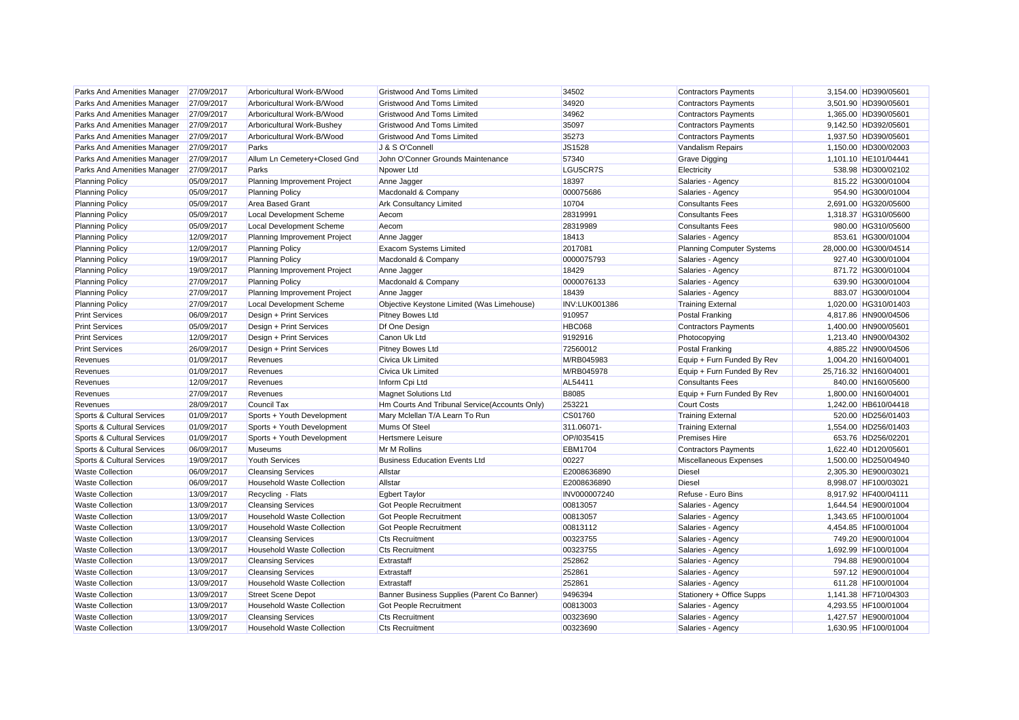| Parks And Amenities Manager        | 27/09/2017 | Arboricultural Work-B/Wood        | Gristwood And Toms Limited                    | 34502                | <b>Contractors Payments</b>      | 3,154.00 HD390/05601  |
|------------------------------------|------------|-----------------------------------|-----------------------------------------------|----------------------|----------------------------------|-----------------------|
| Parks And Amenities Manager        | 27/09/2017 | Arboricultural Work-B/Wood        | Gristwood And Toms Limited                    | 34920                | <b>Contractors Payments</b>      | 3,501.90 HD390/05601  |
| Parks And Amenities Manager        | 27/09/2017 | Arboricultural Work-B/Wood        | <b>Gristwood And Toms Limited</b>             | 34962                | <b>Contractors Payments</b>      | 1,365.00 HD390/05601  |
| Parks And Amenities Manager        | 27/09/2017 | Arboricultural Work-Bushey        | Gristwood And Toms Limited                    | 35097                | <b>Contractors Payments</b>      | 9,142.50 HD392/05601  |
| <b>Parks And Amenities Manager</b> | 27/09/2017 | Arboricultural Work-B/Wood        | Gristwood And Toms Limited                    | 35273                | <b>Contractors Payments</b>      | 1,937.50 HD390/05601  |
| Parks And Amenities Manager        | 27/09/2017 | Parks                             | J & S O'Connell                               | JS1528               | Vandalism Repairs                | 1,150.00 HD300/02003  |
| Parks And Amenities Manager        | 27/09/2017 | Allum Ln Cemetery+Closed Gnd      | John O'Conner Grounds Maintenance             | 57340                | <b>Grave Digging</b>             | 1.101.10 HE101/04441  |
| Parks And Amenities Manager        | 27/09/2017 | Parks                             | Npower Ltd                                    | LGU5CR7S             | Electricity                      | 538.98 HD300/02102    |
| <b>Planning Policy</b>             | 05/09/2017 | Planning Improvement Project      | Anne Jagger                                   | 18397                | Salaries - Agency                | 815.22 HG300/01004    |
| <b>Planning Policy</b>             | 05/09/2017 | <b>Planning Policy</b>            | Macdonald & Company                           | 000075686            | Salaries - Agency                | 954.90 HG300/01004    |
| <b>Planning Policy</b>             | 05/09/2017 | <b>Area Based Grant</b>           | Ark Consultancy Limited                       | 10704                | <b>Consultants Fees</b>          | 2,691.00 HG320/05600  |
| <b>Planning Policy</b>             | 05/09/2017 | <b>Local Development Scheme</b>   | Aecom                                         | 28319991             | <b>Consultants Fees</b>          | 1,318.37 HG310/05600  |
| <b>Planning Policy</b>             | 05/09/2017 | <b>Local Development Scheme</b>   | Aecom                                         | 28319989             | <b>Consultants Fees</b>          | 980.00 HG310/05600    |
| <b>Planning Policy</b>             | 12/09/2017 | Planning Improvement Project      | Anne Jagger                                   | 18413                | Salaries - Agency                | 853.61 HG300/01004    |
| <b>Planning Policy</b>             | 12/09/2017 | <b>Planning Policy</b>            | Exacom Systems Limited                        | 2017081              | <b>Planning Computer Systems</b> | 28,000.00 HG300/04514 |
| <b>Planning Policy</b>             | 19/09/2017 | <b>Planning Policy</b>            | Macdonald & Company                           | 0000075793           | Salaries - Agency                | 927.40 HG300/01004    |
| <b>Planning Policy</b>             | 19/09/2017 | Planning Improvement Project      | Anne Jagger                                   | 18429                | Salaries - Agency                | 871.72 HG300/01004    |
| <b>Planning Policy</b>             | 27/09/2017 | <b>Planning Policy</b>            | Macdonald & Company                           | 0000076133           | Salaries - Agency                | 639.90 HG300/01004    |
| <b>Planning Policy</b>             | 27/09/2017 | Planning Improvement Project      | Anne Jagger                                   | 18439                | Salaries - Agency                | 883.07 HG300/01004    |
| <b>Planning Policy</b>             | 27/09/2017 | <b>Local Development Scheme</b>   | Objective Keystone Limited (Was Limehouse)    | <b>INV:LUK001386</b> | <b>Training External</b>         | 1,020.00 HG310/01403  |
| <b>Print Services</b>              | 06/09/2017 | Design + Print Services           | Pitney Bowes Ltd                              | 910957               | Postal Franking                  | 4.817.86 HN900/04506  |
| <b>Print Services</b>              | 05/09/2017 | Design + Print Services           | Df One Design                                 | <b>HBC068</b>        | <b>Contractors Payments</b>      | 1,400.00 HN900/05601  |
| <b>Print Services</b>              | 12/09/2017 | Design + Print Services           | Canon Uk Ltd                                  | 9192916              | Photocopying                     | 1,213.40 HN900/04302  |
| <b>Print Services</b>              | 26/09/2017 | Design + Print Services           | Pitney Bowes Ltd                              | 72560012             | Postal Franking                  | 4,885.22 HN900/04506  |
| Revenues                           | 01/09/2017 | Revenues                          | Civica Uk Limited                             | M/RB045983           | Equip + Furn Funded By Rev       | 1,004.20 HN160/04001  |
| Revenues                           | 01/09/2017 | Revenues                          | Civica Uk Limited                             | M/RB045978           | Equip + Furn Funded By Rev       | 25,716.32 HN160/04001 |
| Revenues                           | 12/09/2017 | Revenues                          | Inform Cpi Ltd                                | AL54411              | <b>Consultants Fees</b>          | 840.00 HN160/05600    |
| Revenues                           | 27/09/2017 | Revenues                          | <b>Magnet Solutions Ltd</b>                   | <b>B8085</b>         | Equip + Furn Funded By Rev       | 1.800.00 HN160/04001  |
| Revenues                           | 28/09/2017 | Council Tax                       | Hm Courts And Tribunal Service(Accounts Only) | 253221               | <b>Court Costs</b>               | 1,242.00 HB610/04418  |
| Sports & Cultural Services         | 01/09/2017 | Sports + Youth Development        | Mary Mclellan T/A Learn To Run                | CS01760              | <b>Training External</b>         | 520.00 HD256/01403    |
| Sports & Cultural Services         | 01/09/2017 | Sports + Youth Development        | Mums Of Steel                                 | 311.06071-           | <b>Training External</b>         | 1.554.00 HD256/01403  |
| Sports & Cultural Services         | 01/09/2017 | Sports + Youth Development        | Hertsmere Leisure                             | OP/I035415           | <b>Premises Hire</b>             | 653.76 HD256/02201    |
| Sports & Cultural Services         | 06/09/2017 | <b>Museums</b>                    | Mr M Rollins                                  | <b>EBM1704</b>       | <b>Contractors Payments</b>      | 1,622.40 HD120/05601  |
| Sports & Cultural Services         | 19/09/2017 | <b>Youth Services</b>             | <b>Business Education Events Ltd</b>          | 00227                | Miscellaneous Expenses           | 1,500.00 HD250/04940  |
| <b>Waste Collection</b>            | 06/09/2017 | <b>Cleansing Services</b>         | Allstar                                       | E2008636890          | <b>Diesel</b>                    | 2.305.30 HE900/03021  |
| <b>Waste Collection</b>            | 06/09/2017 | <b>Household Waste Collection</b> | Allstar                                       | E2008636890          | <b>Diesel</b>                    | 8,998.07 HF100/03021  |
| <b>Waste Collection</b>            | 13/09/2017 | Recycling - Flats                 | <b>Egbert Taylor</b>                          | INV000007240         | Refuse - Euro Bins               | 8,917.92 HF400/04111  |
| <b>Waste Collection</b>            | 13/09/2017 | <b>Cleansing Services</b>         | <b>Got People Recruitment</b>                 | 00813057             | Salaries - Agency                | 1,644.54 HE900/01004  |
| <b>Waste Collection</b>            | 13/09/2017 | <b>Household Waste Collection</b> | Got People Recruitment                        | 00813057             | Salaries - Agency                | 1,343.65 HF100/01004  |
| <b>Waste Collection</b>            | 13/09/2017 | <b>Household Waste Collection</b> | Got People Recruitment                        | 00813112             | Salaries - Agency                | 4,454.85 HF100/01004  |
| <b>Waste Collection</b>            | 13/09/2017 | <b>Cleansing Services</b>         | <b>Cts Recruitment</b>                        | 00323755             | Salaries - Agency                | 749.20 HE900/01004    |
| <b>Waste Collection</b>            | 13/09/2017 | <b>Household Waste Collection</b> | <b>Cts Recruitment</b>                        | 00323755             | Salaries - Agency                | 1.692.99 HF100/01004  |
| <b>Waste Collection</b>            | 13/09/2017 | <b>Cleansing Services</b>         | Extrastaff                                    | 252862               | Salaries - Agency                | 794.88 HE900/01004    |
| <b>Waste Collection</b>            | 13/09/2017 | <b>Cleansing Services</b>         | Extrastaff                                    | 252861               | Salaries - Agency                | 597.12 HE900/01004    |
| <b>Waste Collection</b>            | 13/09/2017 | <b>Household Waste Collection</b> | Extrastaff                                    | 252861               | Salaries - Agency                | 611.28 HF100/01004    |
| <b>Waste Collection</b>            | 13/09/2017 | <b>Street Scene Depot</b>         | Banner Business Supplies (Parent Co Banner)   | 9496394              | Stationery + Office Supps        | 1,141.38 HF710/04303  |
| <b>Waste Collection</b>            | 13/09/2017 | <b>Household Waste Collection</b> | Got People Recruitment                        | 00813003             | Salaries - Agency                | 4,293.55 HF100/01004  |
| <b>Waste Collection</b>            | 13/09/2017 | <b>Cleansing Services</b>         | Cts Recruitment                               | 00323690             | Salaries - Agency                | 1,427.57 HE900/01004  |
| <b>Waste Collection</b>            | 13/09/2017 | <b>Household Waste Collection</b> | <b>Cts Recruitment</b>                        | 00323690             | Salaries - Agency                | 1.630.95 HF100/01004  |
|                                    |            |                                   |                                               |                      |                                  |                       |